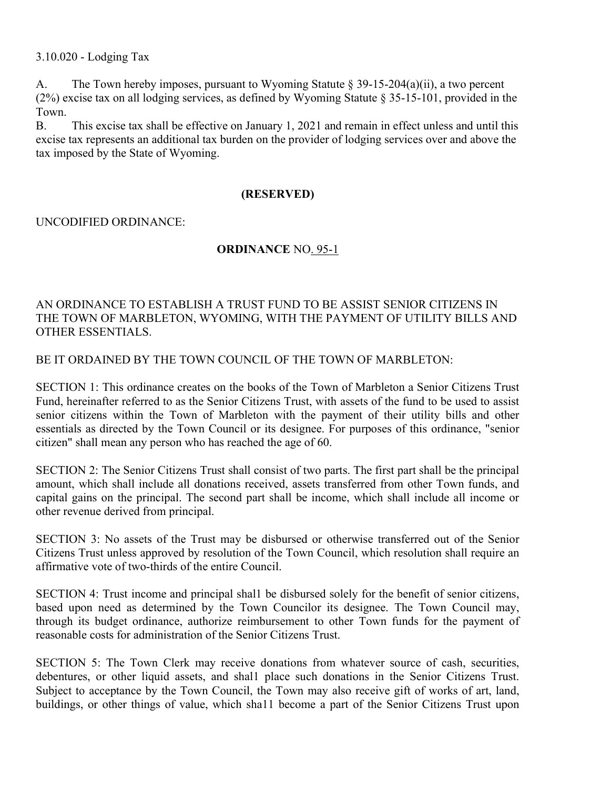# 3.10.020 - Lodging Tax

A. The Town hereby imposes, pursuant to Wyoming Statute  $\S 39-15-204(a)(ii)$ , a two percent (2%) excise tax on all lodging services, as defined by Wyoming Statute § 35-15-101, provided in the Town.

B. This excise tax shall be effective on January 1, 2021 and remain in effect unless and until this excise tax represents an additional tax burden on the provider of lodging services over and above the tax imposed by the State of Wyoming.

### (RESERVED)

### UNCODIFIED ORDINANCE:

### ORDINANCE NO. 95-1

# AN ORDINANCE TO ESTABLISH A TRUST FUND TO BE ASSIST SENIOR CITIZENS IN THE TOWN OF MARBLETON, WYOMING, WITH THE PAYMENT OF UTILITY BILLS AND OTHER ESSENTIALS.

BE IT ORDAINED BY THE TOWN COUNCIL OF THE TOWN OF MARBLETON:

SECTION 1: This ordinance creates on the books of the Town of Marbleton a Senior Citizens Trust Fund, hereinafter referred to as the Senior Citizens Trust, with assets of the fund to be used to assist senior citizens within the Town of Marbleton with the payment of their utility bills and other essentials as directed by the Town Council or its designee. For purposes of this ordinance, "senior citizen" shall mean any person who has reached the age of 60.

SECTION 2: The Senior Citizens Trust shall consist of two parts. The first part shall be the principal amount, which shall include all donations received, assets transferred from other Town funds, and capital gains on the principal. The second part shall be income, which shall include all income or other revenue derived from principal.

SECTION 3: No assets of the Trust may be disbursed or otherwise transferred out of the Senior Citizens Trust unless approved by resolution of the Town Council, which resolution shall require an affirmative vote of two-thirds of the entire Council.

SECTION 4: Trust income and principal shal1 be disbursed solely for the benefit of senior citizens, based upon need as determined by the Town Councilor its designee. The Town Council may, through its budget ordinance, authorize reimbursement to other Town funds for the payment of reasonable costs for administration of the Senior Citizens Trust.

SECTION 5: The Town Clerk may receive donations from whatever source of cash, securities, debentures, or other liquid assets, and shal1 place such donations in the Senior Citizens Trust. Subject to acceptance by the Town Council, the Town may also receive gift of works of art, land, buildings, or other things of value, which sha11 become a part of the Senior Citizens Trust upon